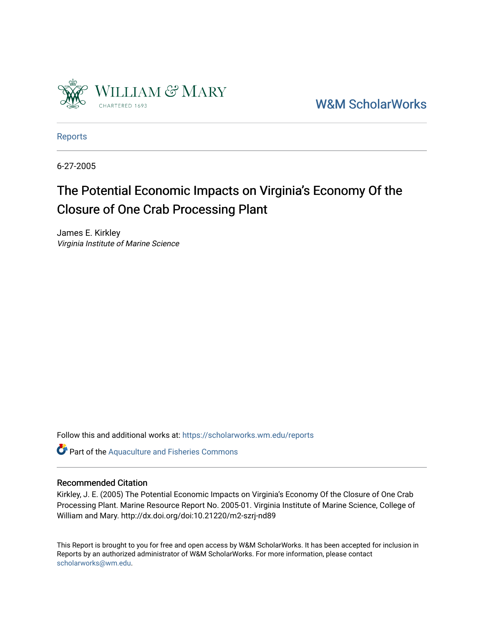

[W&M ScholarWorks](https://scholarworks.wm.edu/) 

[Reports](https://scholarworks.wm.edu/reports)

6-27-2005

# The Potential Economic Impacts on Virginia's Economy Of the Closure of One Crab Processing Plant

James E. Kirkley Virginia Institute of Marine Science

Follow this and additional works at: [https://scholarworks.wm.edu/reports](https://scholarworks.wm.edu/reports?utm_source=scholarworks.wm.edu%2Freports%2F1392&utm_medium=PDF&utm_campaign=PDFCoverPages)

Part of the [Aquaculture and Fisheries Commons](http://network.bepress.com/hgg/discipline/78?utm_source=scholarworks.wm.edu%2Freports%2F1392&utm_medium=PDF&utm_campaign=PDFCoverPages)

#### Recommended Citation

Kirkley, J. E. (2005) The Potential Economic Impacts on Virginia's Economy Of the Closure of One Crab Processing Plant. Marine Resource Report No. 2005-01. Virginia Institute of Marine Science, College of William and Mary. http://dx.doi.org/doi:10.21220/m2-szrj-nd89

This Report is brought to you for free and open access by W&M ScholarWorks. It has been accepted for inclusion in Reports by an authorized administrator of W&M ScholarWorks. For more information, please contact [scholarworks@wm.edu.](mailto:scholarworks@wm.edu)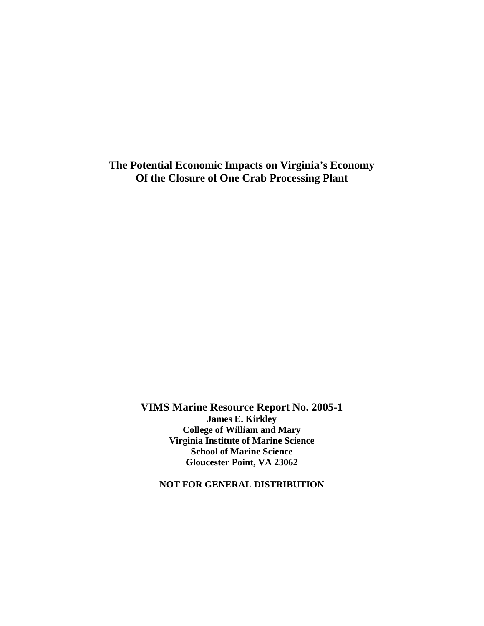**The Potential Economic Impacts on Virginia's Economy Of the Closure of One Crab Processing Plant** 

> **VIMS Marine Resource Report No. 2005-1 James E. Kirkley College of William and Mary Virginia Institute of Marine Science School of Marine Science Gloucester Point, VA 23062**

**NOT FOR GENERAL DISTRIBUTION**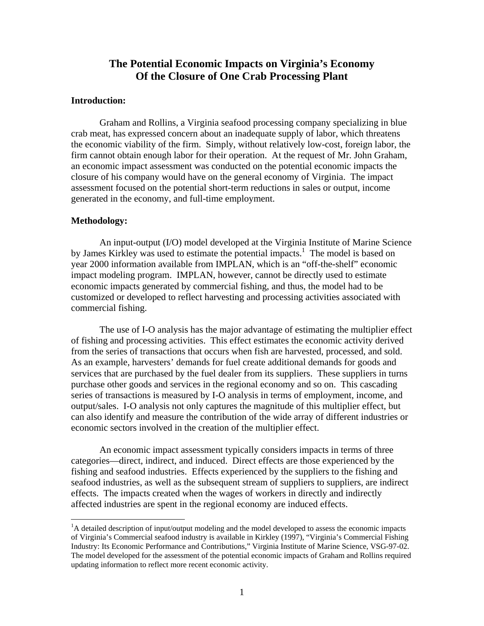## **The Potential Economic Impacts on Virginia's Economy Of the Closure of One Crab Processing Plant**

#### **Introduction:**

 Graham and Rollins, a Virginia seafood processing company specializing in blue crab meat, has expressed concern about an inadequate supply of labor, which threatens the economic viability of the firm. Simply, without relatively low-cost, foreign labor, the firm cannot obtain enough labor for their operation. At the request of Mr. John Graham, an economic impact assessment was conducted on the potential economic impacts the closure of his company would have on the general economy of Virginia. The impact assessment focused on the potential short-term reductions in sales or output, income generated in the economy, and full-time employment.

#### **Methodology:**

 $\overline{a}$ 

 An input-output (I/O) model developed at the Virginia Institute of Marine Science by James Kirkley was used to estimate the potential impacts.<sup>1</sup> The model is based on year 2000 information available from IMPLAN, which is an "off-the-shelf" economic impact modeling program. IMPLAN, however, cannot be directly used to estimate economic impacts generated by commercial fishing, and thus, the model had to be customized or developed to reflect harvesting and processing activities associated with commercial fishing.

 The use of I-O analysis has the major advantage of estimating the multiplier effect of fishing and processing activities. This effect estimates the economic activity derived from the series of transactions that occurs when fish are harvested, processed, and sold. As an example, harvesters' demands for fuel create additional demands for goods and services that are purchased by the fuel dealer from its suppliers. These suppliers in turns purchase other goods and services in the regional economy and so on. This cascading series of transactions is measured by I-O analysis in terms of employment, income, and output/sales. I-O analysis not only captures the magnitude of this multiplier effect, but can also identify and measure the contribution of the wide array of different industries or economic sectors involved in the creation of the multiplier effect.

 An economic impact assessment typically considers impacts in terms of three categories—direct, indirect, and induced. Direct effects are those experienced by the fishing and seafood industries. Effects experienced by the suppliers to the fishing and seafood industries, as well as the subsequent stream of suppliers to suppliers, are indirect effects. The impacts created when the wages of workers in directly and indirectly affected industries are spent in the regional economy are induced effects.

<sup>&</sup>lt;sup>1</sup>A detailed description of input/output modeling and the model developed to assess the economic impacts of Virginia's Commercial seafood industry is available in Kirkley (1997), "Virginia's Commercial Fishing Industry: Its Economic Performance and Contributions," Virginia Institute of Marine Science, VSG-97-02. The model developed for the assessment of the potential economic impacts of Graham and Rollins required updating information to reflect more recent economic activity.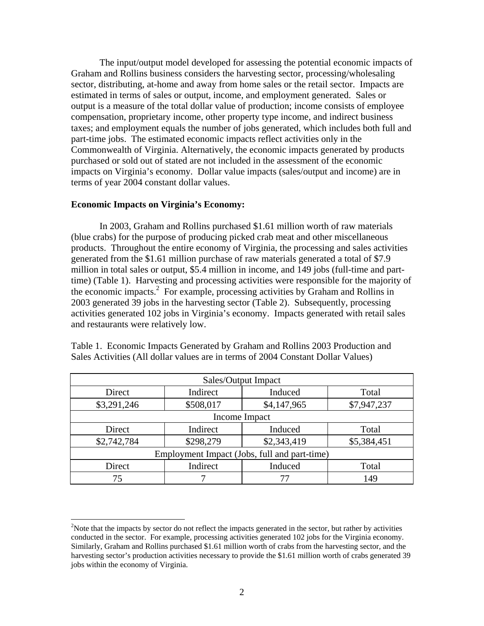The input/output model developed for assessing the potential economic impacts of Graham and Rollins business considers the harvesting sector, processing/wholesaling sector, distributing, at-home and away from home sales or the retail sector. Impacts are estimated in terms of sales or output, income, and employment generated. Sales or output is a measure of the total dollar value of production; income consists of employee compensation, proprietary income, other property type income, and indirect business taxes; and employment equals the number of jobs generated, which includes both full and part-time jobs. The estimated economic impacts reflect activities only in the Commonwealth of Virginia. Alternatively, the economic impacts generated by products purchased or sold out of stated are not included in the assessment of the economic impacts on Virginia's economy. Dollar value impacts (sales/output and income) are in terms of year 2004 constant dollar values.

### **Economic Impacts on Virginia's Economy:**

 $\overline{a}$ 

 In 2003, Graham and Rollins purchased \$1.61 million worth of raw materials (blue crabs) for the purpose of producing picked crab meat and other miscellaneous products. Throughout the entire economy of Virginia, the processing and sales activities generated from the \$1.61 million purchase of raw materials generated a total of \$7.9 million in total sales or output, \$5.4 million in income, and 149 jobs (full-time and parttime) (Table 1). Harvesting and processing activities were responsible for the majority of the economic impacts.<sup>2</sup> For example, processing activities by Graham and Rollins in 2003 generated 39 jobs in the harvesting sector (Table 2). Subsequently, processing activities generated 102 jobs in Virginia's economy. Impacts generated with retail sales and restaurants were relatively low.

| Sales/Output Impact                          |           |             |             |  |
|----------------------------------------------|-----------|-------------|-------------|--|
| Direct                                       | Indirect  | Induced     | Total       |  |
| \$3,291,246                                  | \$508,017 | \$4,147,965 | \$7,947,237 |  |
| Income Impact                                |           |             |             |  |
| Direct                                       | Indirect  | Induced     | Total       |  |
| \$2,742,784                                  | \$298,279 | \$2,343,419 | \$5,384,451 |  |
| Employment Impact (Jobs, full and part-time) |           |             |             |  |
| Direct                                       | Indirect  | Induced     | Total       |  |
| 75                                           |           |             | 149         |  |

Table 1. Economic Impacts Generated by Graham and Rollins 2003 Production and Sales Activities (All dollar values are in terms of 2004 Constant Dollar Values)

<sup>&</sup>lt;sup>2</sup>Note that the impacts by sector do not reflect the impacts generated in the sector, but rather by activities conducted in the sector. For example, processing activities generated 102 jobs for the Virginia economy. Similarly, Graham and Rollins purchased \$1.61 million worth of crabs from the harvesting sector, and the harvesting sector's production activities necessary to provide the \$1.61 million worth of crabs generated 39 jobs within the economy of Virginia.